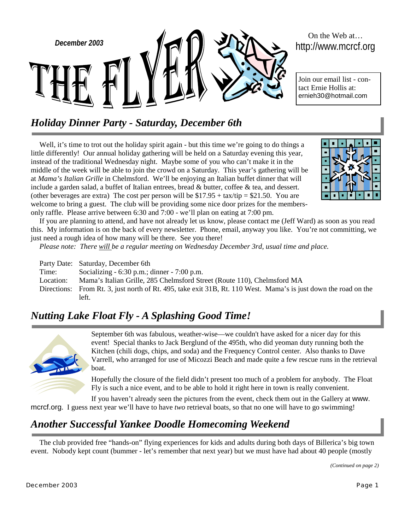

# On the Web at…

Join our email list - contact Ernie Hollis at: ernieh30@hotmail.com

## *Holiday Dinner Party - Saturday, December 6th*

Well, it's time to trot out the holiday spirit again - but this time we're going to do things a little differently! Our annual holiday gathering will be held on a Saturday evening this year, instead of the traditional Wednesday night. Maybe some of you who can't make it in the middle of the week will be able to join the crowd on a Saturday. This year's gathering will be at *Mama's Italian Grille* in Chelmsford. We'll be enjoying an Italian buffet dinner that will include a garden salad, a buffet of Italian entrees, bread & butter, coffee & tea, and dessert. (other beverages are extra) The cost per person will be  $$17.95 + tax/tip = $21.50$ . You are welcome to bring a guest. The club will be providing some nice door prizes for the membersonly raffle. Please arrive between 6:30 and 7:00 - we'll plan on eating at 7:00 pm.



If you are planning to attend, and have not already let us know, please contact me (Jeff Ward) as soon as you read this. My information is on the back of every newsletter. Phone, email, anyway you like. You're not committing, we just need a rough idea of how many will be there. See you there!

*Please note: There will be a regular meeting on Wednesday December 3rd, usual time and place.* 

|           | Party Date: Saturday, December 6th                                                                              |
|-----------|-----------------------------------------------------------------------------------------------------------------|
| Time:     | Socializing $-6:30$ p.m.; dinner $-7:00$ p.m.                                                                   |
| Location: | Mama's Italian Grille, 285 Chelmsford Street (Route 110), Chelmsford MA                                         |
|           | Directions: From Rt. 3, just north of Rt. 495, take exit 31B, Rt. 110 West. Mama's is just down the road on the |
|           | left.                                                                                                           |

## *Nutting Lake Float Fly - A Splashing Good Time!*



September 6th was fabulous, weather-wise—we couldn't have asked for a nicer day for this event! Special thanks to Jack Berglund of the 495th, who did yeoman duty running both the Kitchen (chili dogs, chips, and soda) and the Frequency Control center. Also thanks to Dave Varrell, who arranged for use of Micozzi Beach and made quite a few rescue runs in the retrieval boat.

Hopefully the closure of the field didn't present too much of a problem for anybody. The Float Fly is such a nice event, and to be able to hold it right here in town is really convenient.

If you haven't already seen the pictures from the event, check them out in the Gallery at www. mcrcf.org. I guess next year we'll have to have *two* retrieval boats, so that no one will have to go swimming!

## *Another Successful Yankee Doodle Homecoming Weekend*

The club provided free "hands-on" flying experiences for kids and adults during both days of Billerica's big town event. Nobody kept count (bummer - let's remember that next year) but we must have had about 40 people (mostly

*(Continued on page 2)*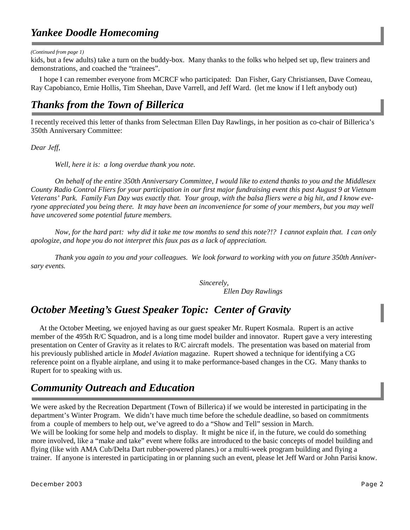#### *Yankee Doodle Homecoming*

*(Continued from page 1)* 

kids, but a few adults) take a turn on the buddy-box. Many thanks to the folks who helped set up, flew trainers and demonstrations, and coached the "trainees".

I hope I can remember everyone from MCRCF who participated: Dan Fisher, Gary Christiansen, Dave Comeau, Ray Capobianco, Ernie Hollis, Tim Sheehan, Dave Varrell, and Jeff Ward. (let me know if I left anybody out)

#### *Thanks from the Town of Billerica*

I recently received this letter of thanks from Selectman Ellen Day Rawlings, in her position as co-chair of Billerica's 350th Anniversary Committee:

*Dear Jeff,* 

 *Well, here it is: a long overdue thank you note.* 

 *On behalf of the entire 350th Anniversary Committee, I would like to extend thanks to you and the Middlesex County Radio Control Fliers for your participation in our first major fundraising event this past August 9 at Vietnam Veterans' Park. Family Fun Day was exactly that. Your group, with the balsa fliers were a big hit, and I know everyone appreciated you being there. It may have been an inconvenience for some of your members, but you may well have uncovered some potential future members.* 

 *Now, for the hard part: why did it take me tow months to send this note?!? I cannot explain that. I can only apologize, and hope you do not interpret this faux pas as a lack of appreciation.* 

 *Thank you again to you and your colleagues. We look forward to working with you on future 350th Anniversary events.* 

> *Sincerely, Ellen Day Rawlings*

## *October Meeting's Guest Speaker Topic: Center of Gravity*

At the October Meeting, we enjoyed having as our guest speaker Mr. Rupert Kosmala. Rupert is an active member of the 495th R/C Squadron, and is a long time model builder and innovator. Rupert gave a very interesting presentation on Center of Gravity as it relates to R/C aircraft models. The presentation was based on material from his previously published article in *Model Aviation* magazine. Rupert showed a technique for identifying a CG reference point on a flyable airplane, and using it to make performance-based changes in the CG. Many thanks to Rupert for to speaking with us.

## *Community Outreach and Education*

We were asked by the Recreation Department (Town of Billerica) if we would be interested in participating in the department's Winter Program. We didn't have much time before the schedule deadline, so based on commitments from a couple of members to help out, we've agreed to do a "Show and Tell" session in March. We will be looking for some help and models to display. It might be nice if, in the future, we could do something more involved, like a "make and take" event where folks are introduced to the basic concepts of model building and flying (like with AMA Cub/Delta Dart rubber-powered planes.) or a multi-week program building and flying a trainer. If anyone is interested in participating in or planning such an event, please let Jeff Ward or John Parisi know.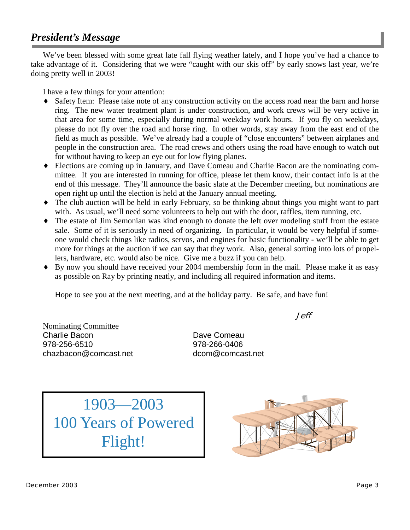#### *President's Message*

We've been blessed with some great late fall flying weather lately, and I hope you've had a chance to take advantage of it. Considering that we were "caught with our skis off" by early snows last year, we're doing pretty well in 2003!

I have a few things for your attention:

- ♦ Safety Item: Please take note of any construction activity on the access road near the barn and horse ring. The new water treatment plant is under construction, and work crews will be very active in that area for some time, especially during normal weekday work hours. If you fly on weekdays, please do not fly over the road and horse ring. In other words, stay away from the east end of the field as much as possible. We've already had a couple of "close encounters" between airplanes and people in the construction area. The road crews and others using the road have enough to watch out for without having to keep an eye out for low flying planes.
- ♦ Elections are coming up in January, and Dave Comeau and Charlie Bacon are the nominating committee. If you are interested in running for office, please let them know, their contact info is at the end of this message. They'll announce the basic slate at the December meeting, but nominations are open right up until the election is held at the January annual meeting.
- ♦ The club auction will be held in early February, so be thinking about things you might want to part with. As usual, we'll need some volunteers to help out with the door, raffles, item running, etc.
- The estate of Jim Semonian was kind enough to donate the left over modeling stuff from the estate sale. Some of it is seriously in need of organizing. In particular, it would be very helpful if someone would check things like radios, servos, and engines for basic functionality - we'll be able to get more for things at the auction if we can say that they work. Also, general sorting into lots of propellers, hardware, etc. would also be nice. Give me a buzz if you can help.
- By now you should have received your 2004 membership form in the mail. Please make it as easy as possible on Ray by printing neatly, and including all required information and items.

Hope to see you at the next meeting, and at the holiday party. Be safe, and have fun!

Jeff

Nominating Committee Charlie Bacon Dave Comeau 978-256-6510 978-266-0406 chazbacon@comcast.net dcom@comcast.net

1903—2003 100 Years of Powered Flight!